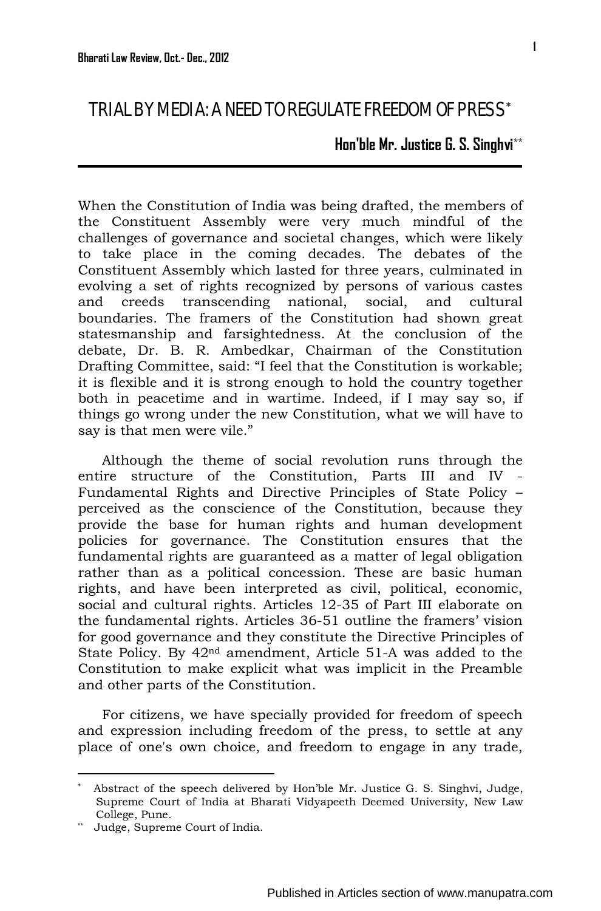**Hon'ble Mr. Justice G. S. Singhvi**\*\*

When the Constitution of India was being drafted, the members of the Constituent Assembly were very much mindful of the challenges of governance and societal changes, which were likely to take place in the coming decades. The debates of the Constituent Assembly which lasted for three years, culminated in evolving a set of rights recognized by persons of various castes and creeds transcending national, social, and cultural boundaries. The framers of the Constitution had shown great statesmanship and farsightedness. At the conclusion of the debate, Dr. B. R. Ambedkar, Chairman of the Constitution Drafting Committee, said: "I feel that the Constitution is workable; it is flexible and it is strong enough to hold the country together both in peacetime and in wartime. Indeed, if I may say so, if things go wrong under the new Constitution, what we will have to say is that men were vile."

Although the theme of social revolution runs through the entire structure of the Constitution, Parts III and IV - Fundamental Rights and Directive Principles of State Policy – perceived as the conscience of the Constitution, because they provide the base for human rights and human development policies for governance. The Constitution ensures that the fundamental rights are guaranteed as a matter of legal obligation rather than as a political concession. These are basic human rights, and have been interpreted as civil, political, economic, social and cultural rights. Articles 12-35 of Part III elaborate on the fundamental rights. Articles 36-51 outline the framers' vision for good governance and they constitute the Directive Principles of State Policy. By 42nd amendment, Article 51-A was added to the Constitution to make explicit what was implicit in the Preamble and other parts of the Constitution.

For citizens, we have specially provided for freedom of speech and expression including freedom of the press, to settle at any place of one's own choice, and freedom to engage in any trade,

-

<span id="page-0-0"></span><sup>∗</sup> Abstract of the speech delivered by Hon'ble Mr. Justice G. S. Singhvi, Judge, Supreme Court of India at Bharati Vidyapeeth Deemed University, New Law College, Pune.

<sup>\*\*</sup> Judge, Supreme Court of India.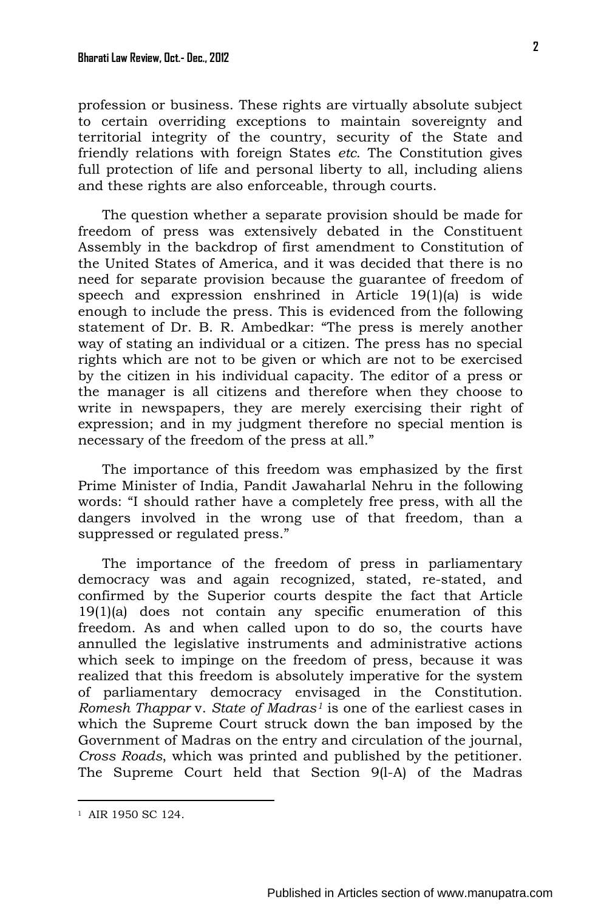profession or business. These rights are virtually absolute subject to certain overriding exceptions to maintain sovereignty and territorial integrity of the country, security of the State and friendly relations with foreign States *etc*. The Constitution gives full protection of life and personal liberty to all, including aliens and these rights are also enforceable, through courts.

The question whether a separate provision should be made for freedom of press was extensively debated in the Constituent Assembly in the backdrop of first amendment to Constitution of the United States of America, and it was decided that there is no need for separate provision because the guarantee of freedom of speech and expression enshrined in Article 19(1)(a) is wide enough to include the press. This is evidenced from the following statement of Dr. B. R. Ambedkar: "The press is merely another way of stating an individual or a citizen. The press has no special rights which are not to be given or which are not to be exercised by the citizen in his individual capacity. The editor of a press or the manager is all citizens and therefore when they choose to write in newspapers, they are merely exercising their right of expression; and in my judgment therefore no special mention is necessary of the freedom of the press at all."

The importance of this freedom was emphasized by the first Prime Minister of India, Pandit Jawaharlal Nehru in the following words: "I should rather have a completely free press, with all the dangers involved in the wrong use of that freedom, than a suppressed or regulated press."

The importance of the freedom of press in parliamentary democracy was and again recognized, stated, re-stated, and confirmed by the Superior courts despite the fact that Article 19(1)(a) does not contain any specific enumeration of this freedom. As and when called upon to do so, the courts have annulled the legislative instruments and administrative actions which seek to impinge on the freedom of press, because it was realized that this freedom is absolutely imperative for the system of parliamentary democracy envisaged in the Constitution. *Romesh Thappar* v. *State of Madras[1](#page-1-0)* is one of the earliest cases in which the Supreme Court struck down the ban imposed by the Government of Madras on the entry and circulation of the journal, *Cross Roads*, which was printed and published by the petitioner. The Supreme Court held that Section 9(l-A) of the Madras

<u>.</u>

<span id="page-1-0"></span><sup>1</sup> AIR 1950 SC 124.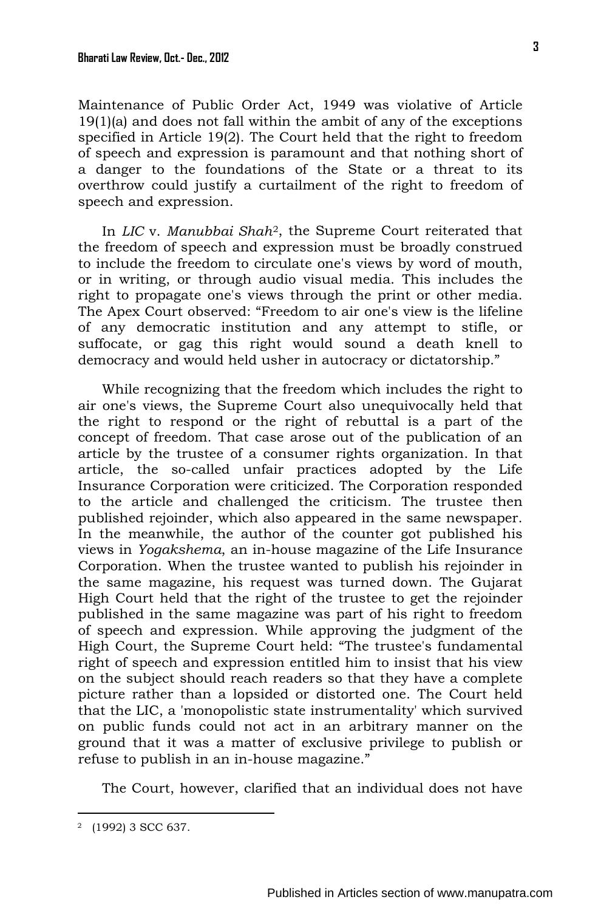Maintenance of Public Order Act, 1949 was violative of Article 19(1)(a) and does not fall within the ambit of any of the exceptions specified in Article 19(2). The Court held that the right to freedom of speech and expression is paramount and that nothing short of a danger to the foundations of the State or a threat to its overthrow could justify a curtailment of the right to freedom of speech and expression.

In *LIC* v. *Manubbai Shah*[2,](#page-2-0) the Supreme Court reiterated that the freedom of speech and expression must be broadly construed to include the freedom to circulate one's views by word of mouth, or in writing, or through audio visual media. This includes the right to propagate one's views through the print or other media. The Apex Court observed: "Freedom to air one's view is the lifeline of any democratic institution and any attempt to stifle, or suffocate, or gag this right would sound a death knell to democracy and would held usher in autocracy or dictatorship."

While recognizing that the freedom which includes the right to air one's views, the Supreme Court also unequivocally held that the right to respond or the right of rebuttal is a part of the concept of freedom. That case arose out of the publication of an article by the trustee of a consumer rights organization. In that article, the so-called unfair practices adopted by the Life Insurance Corporation were criticized. The Corporation responded to the article and challenged the criticism. The trustee then published rejoinder, which also appeared in the same newspaper. In the meanwhile, the author of the counter got published his views in *Yogakshema*, an in-house magazine of the Life Insurance Corporation. When the trustee wanted to publish his rejoinder in the same magazine, his request was turned down. The Gujarat High Court held that the right of the trustee to get the rejoinder published in the same magazine was part of his right to freedom of speech and expression. While approving the judgment of the High Court, the Supreme Court held: "The trustee's fundamental right of speech and expression entitled him to insist that his view on the subject should reach readers so that they have a complete picture rather than a lopsided or distorted one. The Court held that the LIC, a 'monopolistic state instrumentality' which survived on public funds could not act in an arbitrary manner on the ground that it was a matter of exclusive privilege to publish or refuse to publish in an in-house magazine."

The Court, however, clarified that an individual does not have

<span id="page-2-0"></span><sup>2 (1992) 3</sup> SCC 637.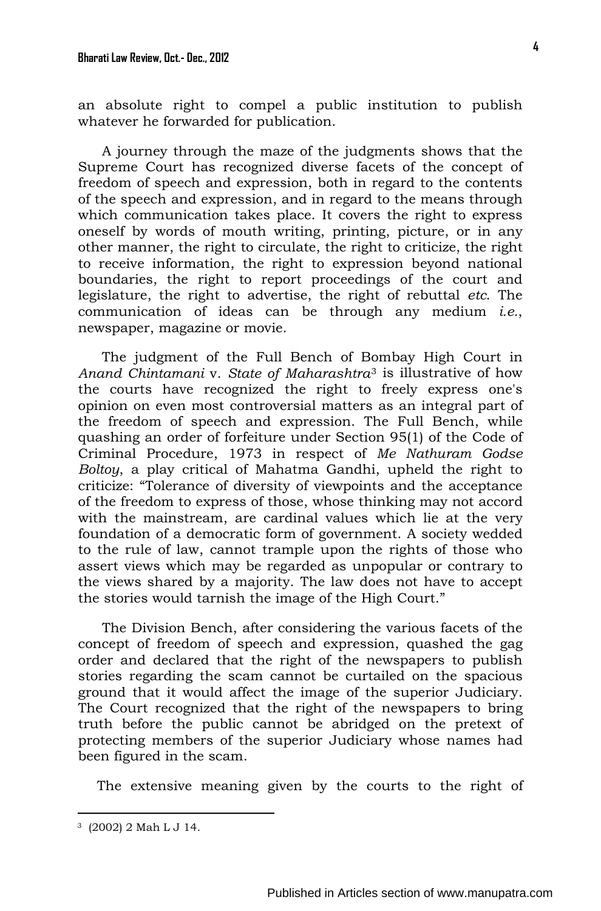an absolute right to compel a public institution to publish whatever he forwarded for publication.

A journey through the maze of the judgments shows that the Supreme Court has recognized diverse facets of the concept of freedom of speech and expression, both in regard to the contents of the speech and expression, and in regard to the means through which communication takes place. It covers the right to express oneself by words of mouth writing, printing, picture, or in any other manner, the right to circulate, the right to criticize, the right to receive information, the right to expression beyond national boundaries, the right to report proceedings of the court and legislature, the right to advertise, the right of rebuttal *etc*. The communication of ideas can be through any medium *i.e.*, newspaper, magazine or movie.

The judgment of the Full Bench of Bombay High Court in *Anand Chintamani* v. *State of Maharashtra*[3](#page-3-0) is illustrative of how the courts have recognized the right to freely express one's opinion on even most controversial matters as an integral part of the freedom of speech and expression. The Full Bench, while quashing an order of forfeiture under Section 95(1) of the Code of Criminal Procedure, 1973 in respect of *Me Nathuram Godse Boltoy*, a play critical of Mahatma Gandhi, upheld the right to criticize: "Tolerance of diversity of viewpoints and the acceptance of the freedom to express of those, whose thinking may not accord with the mainstream, are cardinal values which lie at the very foundation of a democratic form of government. A society wedded to the rule of law, cannot trample upon the rights of those who assert views which may be regarded as unpopular or contrary to the views shared by a majority. The law does not have to accept the stories would tarnish the image of the High Court."

The Division Bench, after considering the various facets of the concept of freedom of speech and expression, quashed the gag order and declared that the right of the newspapers to publish stories regarding the scam cannot be curtailed on the spacious ground that it would affect the image of the superior Judiciary. The Court recognized that the right of the newspapers to bring truth before the public cannot be abridged on the pretext of protecting members of the superior Judiciary whose names had been figured in the scam.

The extensive meaning given by the courts to the right of

<span id="page-3-0"></span><sup>3 (2002) 2</sup> Mah L J 14.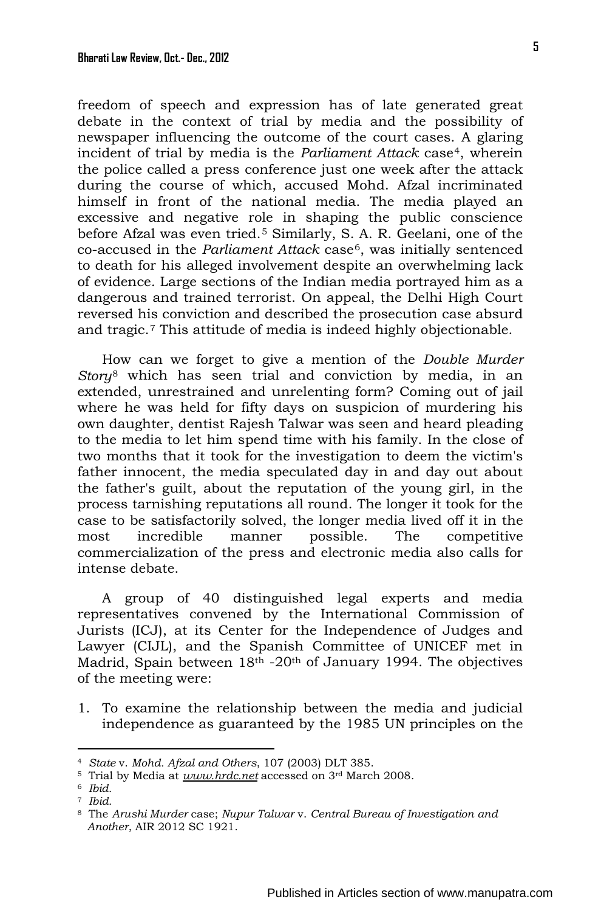freedom of speech and expression has of late generated great debate in the context of trial by media and the possibility of newspaper influencing the outcome of the court cases. A glaring incident of trial by media is the *Parliament Attack* case<sup>[4](#page-4-0)</sup>, wherein the police called a press conference just one week after the attack during the course of which, accused Mohd. Afzal incriminated himself in front of the national media. The media played an excessive and negative role in shaping the public conscience before Afzal was even tried.[5](#page-4-0) Similarly, S. A. R. Geelani, one of the co-accused in the *Parliament Attack* case[6](#page-4-0), was initially sentenced to death for his alleged involvement despite an overwhelming lack of evidence. Large sections of the Indian media portrayed him as a dangerous and trained terrorist. On appeal, the Delhi High Court

How can we forget to give a mention of the *Double Murder Story*[8](#page-4-0) which has seen trial and conviction by media, in an extended, unrestrained and unrelenting form? Coming out of jail where he was held for fifty days on suspicion of murdering his own daughter, dentist Rajesh Talwar was seen and heard pleading to the media to let him spend time with his family. In the close of two months that it took for the investigation to deem the victim's father innocent, the media speculated day in and day out about the father's guilt, about the reputation of the young girl, in the process tarnishing reputations all round. The longer it took for the case to be satisfactorily solved, the longer media lived off it in the most incredible manner possible. The competitive commercialization of the press and electronic media also calls for intense debate.

reversed his conviction and described the prosecution case absurd and tragic.[7](#page-4-0) This attitude of media is indeed highly objectionable.

A group of 40 distinguished legal experts and media representatives convened by the International Commission of Jurists (ICJ), at its Center for the Independence of Judges and Lawyer (CIJL), and the Spanish Committee of UNICEF met in Madrid, Spain between 18<sup>th</sup> -20<sup>th</sup> of January 1994. The objectives of the meeting were:

1. To examine the relationship between the media and judicial independence as guaranteed by the 1985 UN principles on the

<span id="page-4-0"></span><sup>4</sup> *State* v. *Mohd. Afzal and Others*, 107 (2003) DLT 385.

<sup>5</sup> Trial by Media at *www.hrdc.net* accessed on 3rd March 2008. 6 *Ibid.*

<sup>7</sup> *Ibid.*

<sup>8</sup> The *Arushi Murder* case; *Nupur Talwar* v. *Central Bureau of Investigation and Another*, AIR 2012 SC 1921.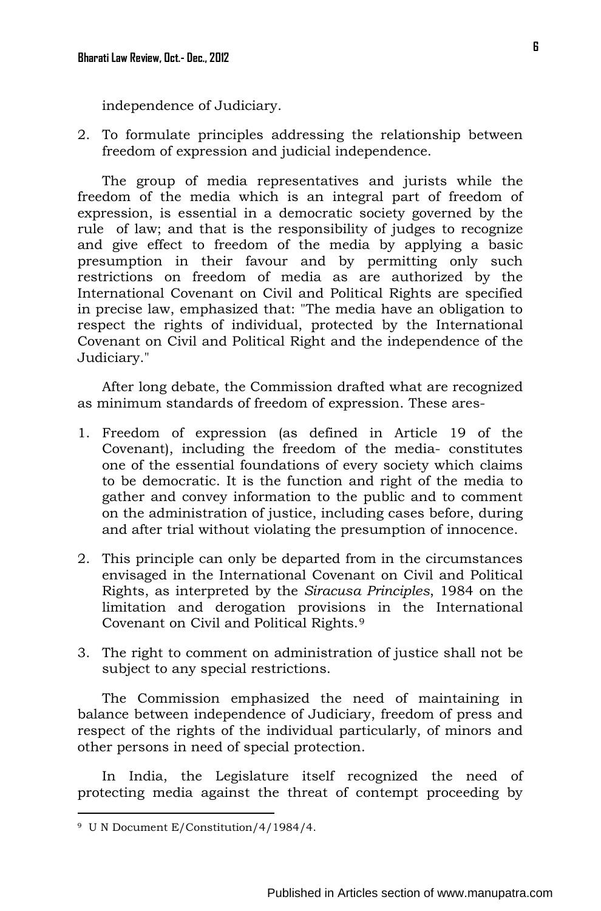independence of Judiciary.

2. To formulate principles addressing the relationship between freedom of expression and judicial independence.

The group of media representatives and jurists while the freedom of the media which is an integral part of freedom of expression, is essential in a democratic society governed by the rule of law; and that is the responsibility of judges to recognize and give effect to freedom of the media by applying a basic presumption in their favour and by permitting only such restrictions on freedom of media as are authorized by the International Covenant on Civil and Political Rights are specified in precise law, emphasized that: "The media have an obligation to respect the rights of individual, protected by the International Covenant on Civil and Political Right and the independence of the Judiciary."

After long debate, the Commission drafted what are recognized as minimum standards of freedom of expression. These ares-

- 1. Freedom of expression (as defined in Article 19 of the Covenant), including the freedom of the media- constitutes one of the essential foundations of every society which claims to be democratic. It is the function and right of the media to gather and convey information to the public and to comment on the administration of justice, including cases before, during and after trial without violating the presumption of innocence.
- 2. This principle can only be departed from in the circumstances envisaged in the International Covenant on Civil and Political Rights, as interpreted by the *Siracusa Principles*, 1984 on the limitation and derogation provisions in the International Covenant on Civil and Political Rights.[9](#page-5-0)
- 3. The right to comment on administration of justice shall not be subject to any special restrictions.

The Commission emphasized the need of maintaining in balance between independence of Judiciary, freedom of press and respect of the rights of the individual particularly, of minors and other persons in need of special protection.

In India, the Legislature itself recognized the need of protecting media against the threat of contempt proceeding by

<span id="page-5-0"></span><sup>9</sup> U N Document E/Constitution/4/1984/4.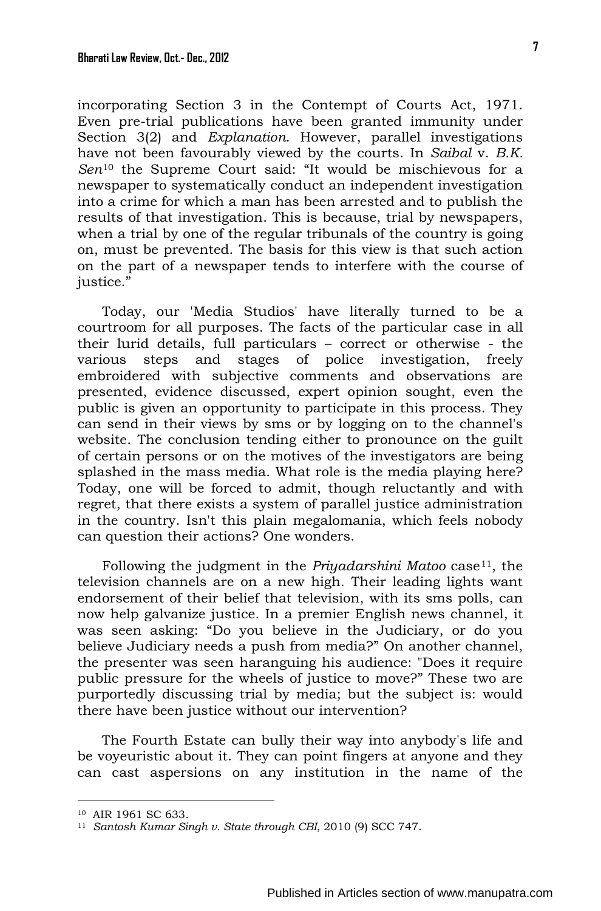incorporating Section 3 in the Contempt of Courts Act, 1971. Even pre-trial publications have been granted immunity under Section 3(2) and *Explanation*. However, parallel investigations have not been favourably viewed by the courts. In *Saibal* v. *B.K. Sen*[10](#page-6-0) the Supreme Court said: "It would be mischievous for a newspaper to systematically conduct an independent investigation into a crime for which a man has been arrested and to publish the results of that investigation. This is because, trial by newspapers, when a trial by one of the regular tribunals of the country is going on, must be prevented. The basis for this view is that such action on the part of a newspaper tends to interfere with the course of justice."

Today, our 'Media Studios' have literally turned to be a courtroom for all purposes. The facts of the particular case in all their lurid details, full particulars – correct or otherwise - the various steps and stages of police investigation, freely embroidered with subjective comments and observations are presented, evidence discussed, expert opinion sought, even the public is given an opportunity to participate in this process. They can send in their views by sms or by logging on to the channel's website. The conclusion tending either to pronounce on the guilt of certain persons or on the motives of the investigators are being splashed in the mass media. What role is the media playing here? Today, one will be forced to admit, though reluctantly and with regret, that there exists a system of parallel justice administration in the country. Isn't this plain megalomania, which feels nobody can question their actions? One wonders.

Following the judgment in the *Priyadarshini Matoo* case<sup>11</sup>, the television channels are on a new high. Their leading lights want endorsement of their belief that television, with its sms polls, can now help galvanize justice. In a premier English news channel, it was seen asking: "Do you believe in the Judiciary, or do you believe Judiciary needs a push from media?" On another channel, the presenter was seen haranguing his audience: "Does it require public pressure for the wheels of justice to move?" These two are purportedly discussing trial by media; but the subject is: would there have been justice without our intervention?

The Fourth Estate can bully their way into anybody's life and be voyeuristic about it. They can point fingers at anyone and they can cast aspersions on any institution in the name of the

<span id="page-6-0"></span><sup>10</sup> AIR 1961 SC 633.

<sup>11</sup> *Santosh Kumar Singh v. State through CBI*, 2010 (9) SCC 747.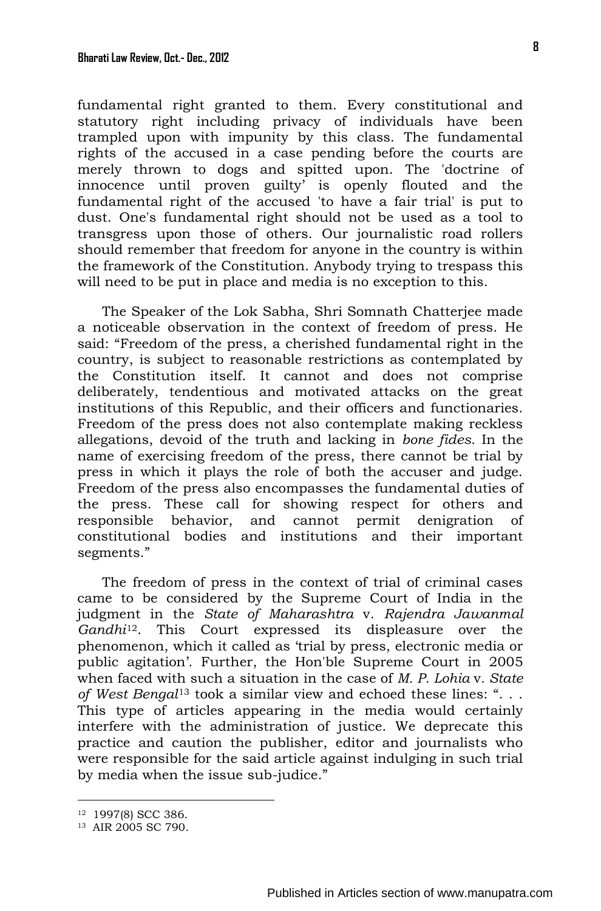fundamental right granted to them. Every constitutional and statutory right including privacy of individuals have been trampled upon with impunity by this class. The fundamental rights of the accused in a case pending before the courts are merely thrown to dogs and spitted upon. The 'doctrine of innocence until proven guilty' is openly flouted and the fundamental right of the accused 'to have a fair trial' is put to dust. One's fundamental right should not be used as a tool to transgress upon those of others. Our journalistic road rollers should remember that freedom for anyone in the country is within the framework of the Constitution. Anybody trying to trespass this will need to be put in place and media is no exception to this.

The Speaker of the Lok Sabha, Shri Somnath Chatterjee made a noticeable observation in the context of freedom of press. He said: "Freedom of the press, a cherished fundamental right in the country, is subject to reasonable restrictions as contemplated by the Constitution itself. It cannot and does not comprise deliberately, tendentious and motivated attacks on the great institutions of this Republic, and their officers and functionaries. Freedom of the press does not also contemplate making reckless allegations, devoid of the truth and lacking in *bone fides*. In the name of exercising freedom of the press, there cannot be trial by press in which it plays the role of both the accuser and judge. Freedom of the press also encompasses the fundamental duties of the press. These call for showing respect for others and responsible behavior, and cannot permit denigration of constitutional bodies and institutions and their important segments."

The freedom of press in the context of trial of criminal cases came to be considered by the Supreme Court of India in the judgment in the *State of Maharashtra* v. *Rajendra Jawanmal Gandhi*[12](#page-7-0). This Court expressed its displeasure over the phenomenon, which it called as 'trial by press, electronic media or public agitation'. Further, the Hon'ble Supreme Court in 2005 when faced with such a situation in the case of *M. P. Lohia* v*. State of West Bengal*[13](#page-7-0) took a similar view and echoed these lines: ". . . This type of articles appearing in the media would certainly interfere with the administration of justice. We deprecate this practice and caution the publisher, editor and journalists who were responsible for the said article against indulging in such trial by media when the issue sub-judice."

<span id="page-7-0"></span><sup>12 1997(8)</sup> SCC 386.

<sup>13</sup> AIR 2005 SC 790.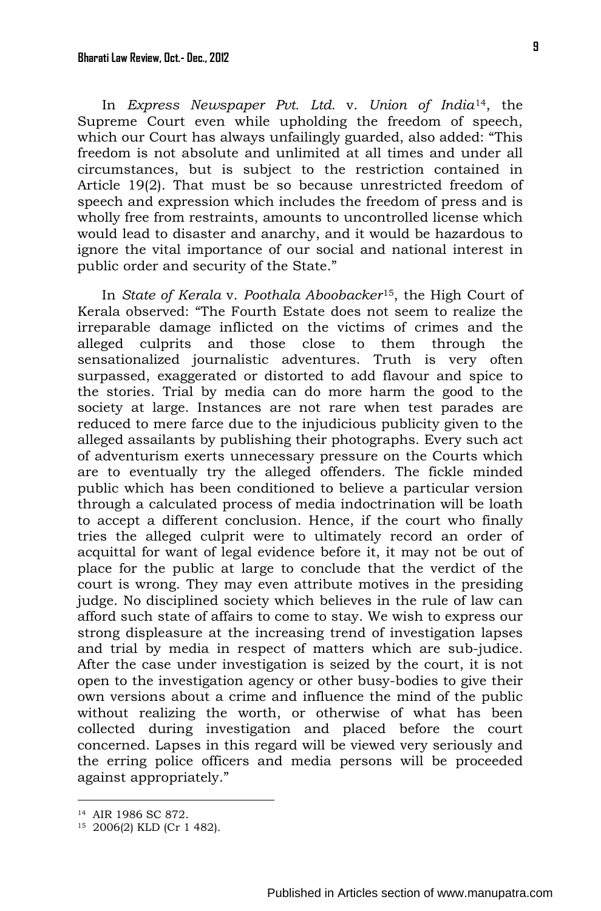In *Express Newspaper Pvt. Ltd.* v. *Union of India*[14,](#page-8-0) the Supreme Court even while upholding the freedom of speech, which our Court has always unfailingly guarded, also added: "This freedom is not absolute and unlimited at all times and under all circumstances, but is subject to the restriction contained in Article 19(2). That must be so because unrestricted freedom of speech and expression which includes the freedom of press and is wholly free from restraints, amounts to uncontrolled license which would lead to disaster and anarchy, and it would be hazardous to ignore the vital importance of our social and national interest in public order and security of the State."

In *State of Kerala* v. *Poothala Aboobacker*[15](#page-8-0), the High Court of Kerala observed: "The Fourth Estate does not seem to realize the irreparable damage inflicted on the victims of crimes and the alleged culprits and those close to them through the sensationalized journalistic adventures. Truth is very often surpassed, exaggerated or distorted to add flavour and spice to the stories. Trial by media can do more harm the good to the society at large. Instances are not rare when test parades are reduced to mere farce due to the injudicious publicity given to the alleged assailants by publishing their photographs. Every such act of adventurism exerts unnecessary pressure on the Courts which are to eventually try the alleged offenders. The fickle minded public which has been conditioned to believe a particular version through a calculated process of media indoctrination will be loath to accept a different conclusion. Hence, if the court who finally tries the alleged culprit were to ultimately record an order of acquittal for want of legal evidence before it, it may not be out of place for the public at large to conclude that the verdict of the court is wrong. They may even attribute motives in the presiding judge. No disciplined society which believes in the rule of law can afford such state of affairs to come to stay. We wish to express our strong displeasure at the increasing trend of investigation lapses and trial by media in respect of matters which are sub-judice. After the case under investigation is seized by the court, it is not open to the investigation agency or other busy-bodies to give their own versions about a crime and influence the mind of the public without realizing the worth, or otherwise of what has been collected during investigation and placed before the court concerned. Lapses in this regard will be viewed very seriously and the erring police officers and media persons will be proceeded against appropriately."

<span id="page-8-0"></span><sup>14</sup> AIR 1986 SC 872.

<sup>15 2006(2)</sup> KLD (Cr 1 482).